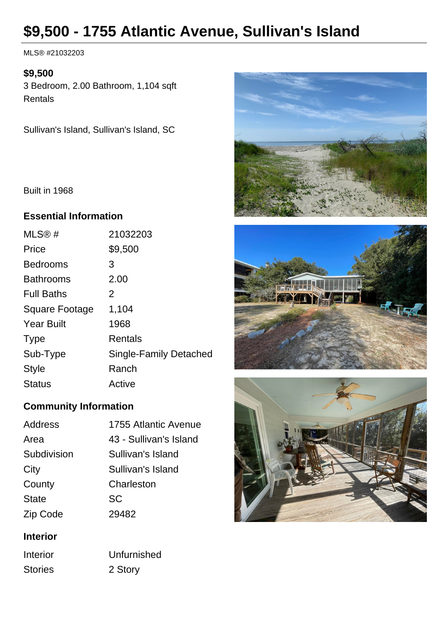# **\$9,500 - 1755 Atlantic Avenue, Sullivan's Island**

MLS® #21032203

#### **\$9,500**

3 Bedroom, 2.00 Bathroom, 1,104 sqft **Rentals** 

Sullivan's Island, Sullivan's Island, SC

Built in 1968

#### **Essential Information**

| MLS@#             | 21032203               |
|-------------------|------------------------|
| Price             | \$9,500                |
| <b>Bedrooms</b>   | 3                      |
| <b>Bathrooms</b>  | 2.00                   |
| <b>Full Baths</b> | 2                      |
| Square Footage    | 1,104                  |
| <b>Year Built</b> | 1968                   |
| <b>Type</b>       | <b>Rentals</b>         |
| Sub-Type          | Single-Family Detached |
| <b>Style</b>      | Ranch                  |
| <b>Status</b>     | Active                 |
|                   |                        |

## **Community Information**

| Address      | 1755 Atlantic Avenue   |
|--------------|------------------------|
| Area         | 43 - Sullivan's Island |
| Subdivision  | Sullivan's Island      |
| City         | Sullivan's Island      |
| County       | Charleston             |
| <b>State</b> | SC                     |
| Zip Code     | 29482                  |
|              |                        |

## **Interior**

Interior Unfurnished Stories 2 Story